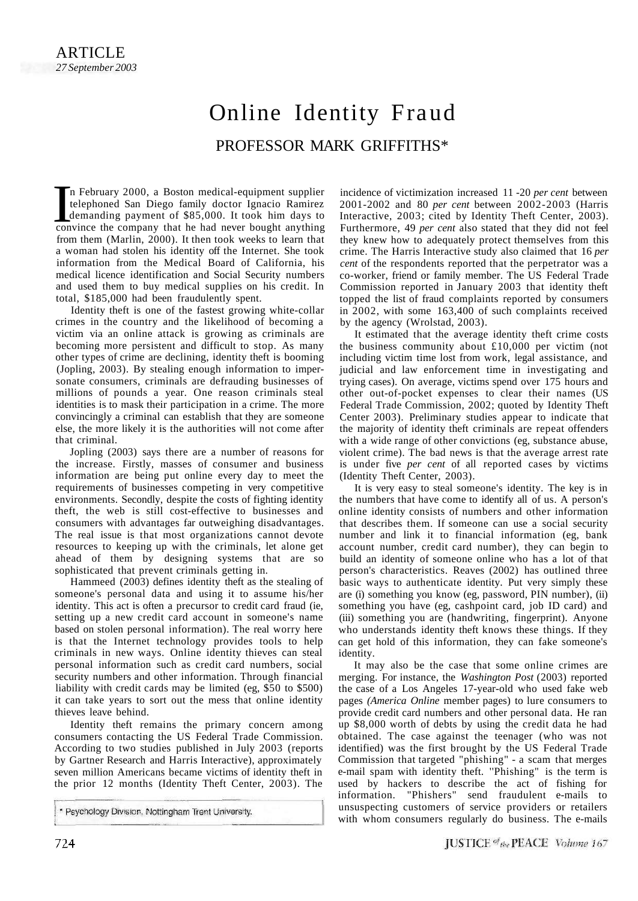## Online Identity Fraud PROFESSOR MARK GRIFFITHS\*

In February 2000, a Boston medical-equipment supplier<br>telephoned San Diego family doctor Ignacio Ramirez<br>demanding payment of \$85,000. It took him days to<br>convince the company that he had never bought anything n February 2000, a Boston medical-equipment supplier telephoned San Diego family doctor Ignacio Ramirez demanding payment of \$85,000. It took him days to from them (Marlin, 2000). It then took weeks to learn that a woman had stolen his identity off the Internet. She took information from the Medical Board of California, his medical licence identification and Social Security numbers and used them to buy medical supplies on his credit. In total, \$185,000 had been fraudulently spent.

Identity theft is one of the fastest growing white-collar crimes in the country and the likelihood of becoming a victim via an online attack is growing as criminals are becoming more persistent and difficult to stop. As many other types of crime are declining, identity theft is booming (Jopling, 2003). By stealing enough information to impersonate consumers, criminals are defrauding businesses of millions of pounds a year. One reason criminals steal identities is to mask their participation in a crime. The more convincingly a criminal can establish that they are someone else, the more likely it is the authorities will not come after that criminal.

Jopling (2003) says there are a number of reasons for the increase. Firstly, masses of consumer and business information are being put online every day to meet the requirements of businesses competing in very competitive environments. Secondly, despite the costs of fighting identity theft, the web is still cost-effective to businesses and consumers with advantages far outweighing disadvantages. The real issue is that most organizations cannot devote resources to keeping up with the criminals, let alone get ahead of them by designing systems that are so sophisticated that prevent criminals getting in.

Hammeed (2003) defines identity theft as the stealing of someone's personal data and using it to assume his/her identity. This act is often a precursor to credit card fraud (ie, setting up a new credit card account in someone's name based on stolen personal information). The real worry here is that the Internet technology provides tools to help criminals in new ways. Online identity thieves can steal personal information such as credit card numbers, social security numbers and other information. Through financial liability with credit cards may be limited (eg, \$50 to \$500) it can take years to sort out the mess that online identity thieves leave behind.

Identity theft remains the primary concern among consumers contacting the US Federal Trade Commission. According to two studies published in July 2003 (reports by Gartner Research and Harris Interactive), approximately seven million Americans became victims of identity theft in the prior 12 months (Identity Theft Center, 2003). The

\* Psychology Division, Nottingham Trent University.

incidence of victimization increased 11 -20 *per cent* between 2001-2002 and 80 *per cent* between 2002-2003 (Harris Interactive, 2003; cited by Identity Theft Center, 2003). Furthermore, 49 *per cent* also stated that they did not feel they knew how to adequately protect themselves from this crime. The Harris Interactive study also claimed that 16 *per cent* of the respondents reported that the perpetrator was a co-worker, friend or family member. The US Federal Trade Commission reported in January 2003 that identity theft topped the list of fraud complaints reported by consumers in 2002, with some 163,400 of such complaints received by the agency (Wrolstad, 2003).

It estimated that the average identity theft crime costs the business community about £10,000 per victim (not including victim time lost from work, legal assistance, and judicial and law enforcement time in investigating and trying cases). On average, victims spend over 175 hours and other out-of-pocket expenses to clear their names (US Federal Trade Commission, 2002; quoted by Identity Theft Center 2003). Preliminary studies appear to indicate that the majority of identity theft criminals are repeat offenders with a wide range of other convictions (eg, substance abuse, violent crime). The bad news is that the average arrest rate is under five *per cent* of all reported cases by victims (Identity Theft Center, 2003).

It is very easy to steal someone's identity. The key is in the numbers that have come to identify all of us. A person's online identity consists of numbers and other information that describes them. If someone can use a social security number and link it to financial information (eg, bank account number, credit card number), they can begin to build an identity of someone online who has a lot of that person's characteristics. Reaves (2002) has outlined three basic ways to authenticate identity. Put very simply these are (i) something you know (eg, password, PIN number), (ii) something you have (eg, cashpoint card, job ID card) and (iii) something you are (handwriting, fingerprint). Anyone who understands identity theft knows these things. If they can get hold of this information, they can fake someone's identity.

It may also be the case that some online crimes are merging. For instance, the *Washington Post* (2003) reported the case of a Los Angeles 17-year-old who used fake web pages *(America Online* member pages) to lure consumers to provide credit card numbers and other personal data. He ran up \$8,000 worth of debts by using the credit data he had obtained. The case against the teenager (who was not identified) was the first brought by the US Federal Trade Commission that targeted "phishing" - a scam that merges e-mail spam with identity theft. ''Phishing" is the term is used by hackers to describe the act of fishing for information. "Phishers" send fraudulent e-mails to unsuspecting customers of service providers or retailers with whom consumers regularly do business. The e-mails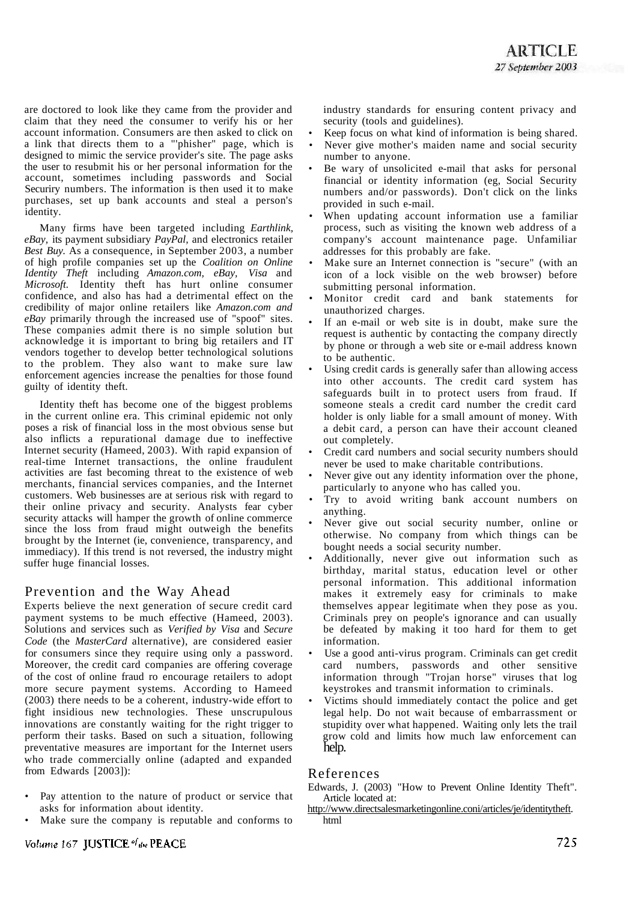are doctored to look like they came from the provider and claim that they need the consumer to verify his or her account information. Consumers are then asked to click on a link that directs them to a "'phisher" page, which is designed to mimic the service provider's site. The page asks the user to resubmit his or her personal information for the account, sometimes including passwords and Social Securiry numbers. The information is then used it to make purchases, set up bank accounts and steal a person's identity.

Many firms have been targeted including *Earthlink, eBay,* its payment subsidiary *PayPal,* and electronics retailer *Best Buy.* As a consequence, in September 2003, a number of high profile companies set up the *Coalition on Online Identity Theft* including *Amazon.com, eBay, Visa* and *Microsoft.* Identity theft has hurt online consumer confidence, and also has had a detrimental effect on the credibility of major online retailers like *Amazon.com and eBay* primarily through the increased use of "spoof" sites. These companies admit there is no simple solution but acknowledge it is important to bring big retailers and IT vendors together to develop better technological solutions to the problem. They also want to make sure law enforcement agencies increase the penalties for those found guilty of identity theft.

Identity theft has become one of the biggest problems in the current online era. This criminal epidemic not only poses a risk of financial loss in the most obvious sense but also inflicts a repurational damage due to ineffective Internet security (Hameed, 2003). With rapid expansion of real-time Internet transactions, the online fraudulent activities are fast becoming threat to the existence of web merchants, financial services companies, and the Internet customers. Web businesses are at serious risk with regard to their online privacy and security. Analysts fear cyber security attacks will hamper the growth of online commerce since the loss from fraud might outweigh the benefits brought by the Internet (ie, convenience, transparency, and immediacy). If this trend is not reversed, the industry might suffer huge financial losses.

## Prevention and the Way Ahead

Experts believe the next generation of secure credit card payment systems to be much effective (Hameed, 2003). Solutions and services such as *Verified by Visa* and *Secure Code* (the *MasterCard* alternative), are considered easier for consumers since they require using only a password. Moreover, the credit card companies are offering coverage of the cost of online fraud ro encourage retailers to adopt more secure payment systems. According to Hameed (2003) there needs to be a coherent, industry-wide effort to fight insidious new technologies. These unscrupulous innovations are constantly waiting for the right trigger to perform their tasks. Based on such a situation, following preventative measures are important for the Internet users who trade commercially online (adapted and expanded from Edwards [2003]):

- Pay attention to the nature of product or service that asks for information about identity.
- Make sure the company is reputable and conforms to

industry standards for ensuring content privacy and security (tools and guidelines).

- Keep focus on what kind of information is being shared.
- Never give mother's maiden name and social security number to anyone.
- Be wary of unsolicited e-mail that asks for personal financial or identity information (eg, Social Security numbers and/or passwords). Don't click on the links provided in such e-mail.
- When updating account information use a familiar process, such as visiting the known web address of a company's account maintenance page. Unfamiliar addresses for this probably are fake.
- Make sure an Internet connection is "secure" (with an icon of a lock visible on the web browser) before submitting personal information.
- Monitor credit card and bank statements for unauthorized charges.
- If an e-mail or web site is in doubt, make sure the request is authentic by contacting the company directly by phone or through a web site or e-mail address known to be authentic.
- Using credit cards is generally safer than allowing access into other accounts. The credit card system has safeguards built in to protect users from fraud. If someone steals a credit card number the credit card holder is only liable for a small amount of money. With a debit card, a person can have their account cleaned out completely.
- Credit card numbers and social security numbers should never be used to make charitable contributions.
- Never give out any identity information over the phone, particularly to anyone who has called you.
- Try to avoid writing bank account numbers on anything.
- Never give out social security number, online or otherwise. No company from which things can be bought needs a social security number.
- Additionally, never give out information such as birthday, marital status, education level or other personal information. This additional information makes it extremely easy for criminals to make themselves appear legitimate when they pose as you. Criminals prey on people's ignorance and can usually be defeated by making it too hard for them to get information.
- Use a good anti-virus program. Criminals can get credit card numbers, passwords and other sensitive information through "Trojan horse" viruses that log keystrokes and transmit information to criminals.
- Victims should immediately contact the police and get legal help. Do not wait because of embarrassment or stupidity over what happened. Waiting only lets the trail grow cold and limits how much law enforcement can help.

## References

Edwards, J. (2003) "How to Prevent Online Identity Theft". Article located at:

[http://www.directsalesmarketingonline.coni/articles/je/identitytheft.](http://www.directsalesmarketingonline.coni/articles/je/identitytheft) html